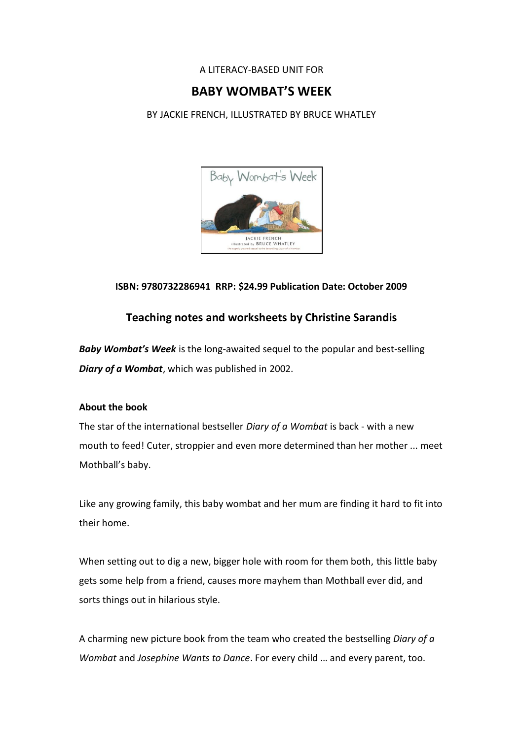### A LITERACY-BASED UNIT FOR

## **BABY WOMBAT'S WEEK**

BY JACKIE FRENCH, ILLUSTRATED BY BRUCE WHATLEY



## **ISBN: 9780732286941 RRP: \$24.99 Publication Date: October 2009**

## **Teaching notes and worksheets by Christine Sarandis**

*Baby Wombat's Week* is the long-awaited sequel to the popular and best-selling *Diary of a Wombat*, which was published in 2002.

#### **About the book**

The star of the international bestseller *Diary of a Wombat* is back - with a new mouth to feed! Cuter, stroppier and even more determined than her mother ... meet Mothball's baby.

Like any growing family, this baby wombat and her mum are finding it hard to fit into their home.

When setting out to dig a new, bigger hole with room for them both, this little baby gets some help from a friend, causes more mayhem than Mothball ever did, and sorts things out in hilarious style.

A charming new picture book from the team who created the bestselling *Diary of a Wombat* and *Josephine Wants to Dance*. For every child … and every parent, too.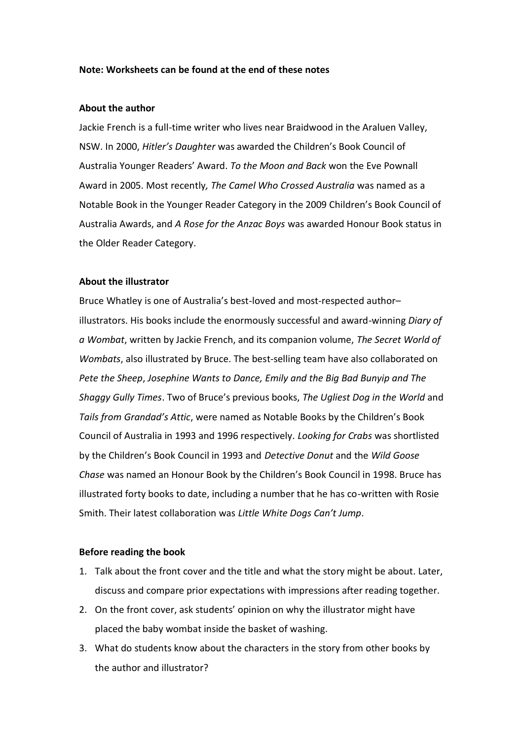#### **Note: Worksheets can be found at the end of these notes**

#### **About the author**

Jackie French is a full-time writer who lives near Braidwood in the Araluen Valley, NSW. In 2000, *Hitler's Daughter* was awarded the Children's Book Council of Australia Younger Readers' Award. *To the Moon and Back* won the Eve Pownall Award in 2005. Most recently*, The Camel Who Crossed Australia* was named as a Notable Book in the Younger Reader Category in the 2009 Children's Book Council of Australia Awards, and *A Rose for the Anzac Boys* was awarded Honour Book status in the Older Reader Category.

#### **About the illustrator**

Bruce Whatley is one of Australia's best-loved and most-respected author– illustrators. His books include the enormously successful and award-winning *Diary of a Wombat*, written by Jackie French, and its companion volume, *The Secret World of Wombats*, also illustrated by Bruce. The best-selling team have also collaborated on *Pete the Sheep*, *Josephine Wants to Dance, Emily and the Big Bad Bunyip and The Shaggy Gully Times*. Two of Bruce's previous books, *The Ugliest Dog in the World* and *Tails from Grandad's Attic*, were named as Notable Books by the Children's Book Council of Australia in 1993 and 1996 respectively. *Looking for Crabs* was shortlisted by the Children's Book Council in 1993 and *Detective Donut* and the *Wild Goose Chase* was named an Honour Book by the Children's Book Council in 1998. Bruce has illustrated forty books to date, including a number that he has co-written with Rosie Smith. Their latest collaboration was *Little White Dogs Can't Jump*.

#### **Before reading the book**

- 1. Talk about the front cover and the title and what the story might be about. Later, discuss and compare prior expectations with impressions after reading together.
- 2. On the front cover, ask students' opinion on why the illustrator might have placed the baby wombat inside the basket of washing.
- 3. What do students know about the characters in the story from other books by the author and illustrator?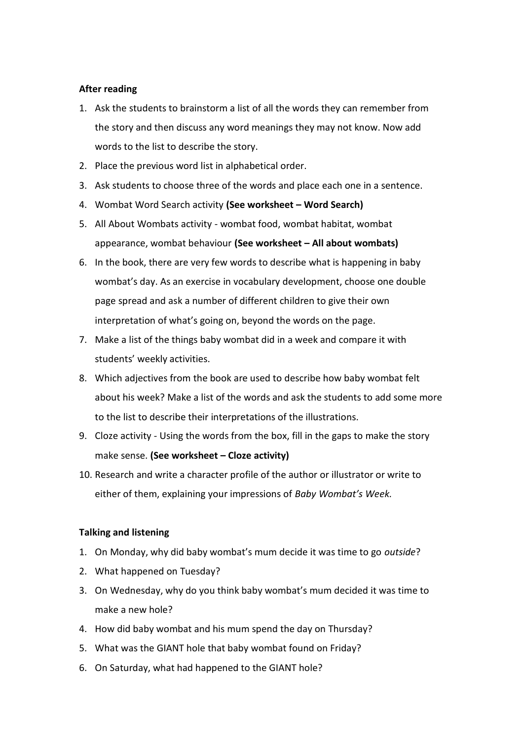#### **After reading**

- 1. Ask the students to brainstorm a list of all the words they can remember from the story and then discuss any word meanings they may not know. Now add words to the list to describe the story.
- 2. Place the previous word list in alphabetical order.
- 3. Ask students to choose three of the words and place each one in a sentence.
- 4. Wombat Word Search activity **(See worksheet – Word Search)**
- 5. All About Wombats activity wombat food, wombat habitat, wombat appearance, wombat behaviour **(See worksheet – All about wombats)**
- 6. In the book, there are very few words to describe what is happening in baby wombat's day. As an exercise in vocabulary development, choose one double page spread and ask a number of different children to give their own interpretation of what's going on, beyond the words on the page.
- 7. Make a list of the things baby wombat did in a week and compare it with students' weekly activities.
- 8. Which adjectives from the book are used to describe how baby wombat felt about his week? Make a list of the words and ask the students to add some more to the list to describe their interpretations of the illustrations.
- 9. Cloze activity Using the words from the box, fill in the gaps to make the story make sense. **(See worksheet – Cloze activity)**
- 10. Research and write a character profile of the author or illustrator or write to either of them, explaining your impressions of *Baby Wombat's Week.*

#### **Talking and listening**

- 1. On Monday, why did baby wombat's mum decide it was time to go *outside*?
- 2. What happened on Tuesday?
- 3. On Wednesday, why do you think baby wombat's mum decided it was time to make a new hole?
- 4. How did baby wombat and his mum spend the day on Thursday?
- 5. What was the GIANT hole that baby wombat found on Friday?
- 6. On Saturday, what had happened to the GIANT hole?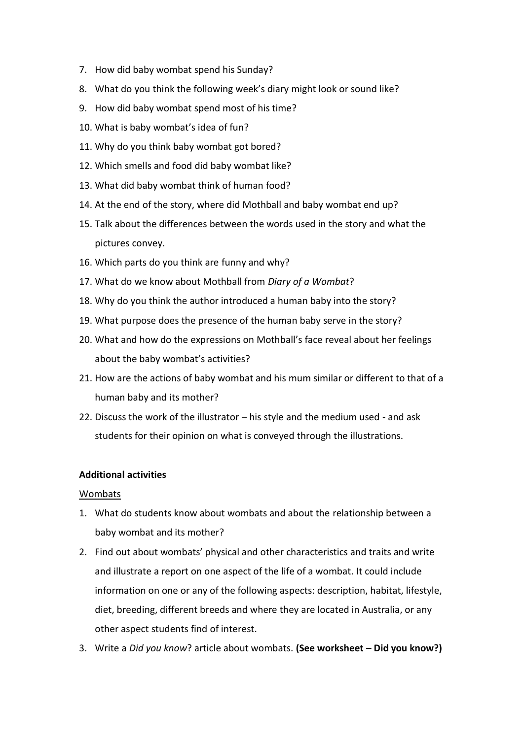- 7. How did baby wombat spend his Sunday?
- 8. What do you think the following week's diary might look or sound like?
- 9. How did baby wombat spend most of his time?
- 10. What is baby wombat's idea of fun?
- 11. Why do you think baby wombat got bored?
- 12. Which smells and food did baby wombat like?
- 13. What did baby wombat think of human food?
- 14. At the end of the story, where did Mothball and baby wombat end up?
- 15. Talk about the differences between the words used in the story and what the pictures convey.
- 16. Which parts do you think are funny and why?
- 17. What do we know about Mothball from *Diary of a Wombat*?
- 18. Why do you think the author introduced a human baby into the story?
- 19. What purpose does the presence of the human baby serve in the story?
- 20. What and how do the expressions on Mothball's face reveal about her feelings about the baby wombat's activities?
- 21. How are the actions of baby wombat and his mum similar or different to that of a human baby and its mother?
- 22. Discuss the work of the illustrator his style and the medium used and ask students for their opinion on what is conveyed through the illustrations.

#### **Additional activities**

#### Wombats

- 1. What do students know about wombats and about the relationship between a baby wombat and its mother?
- 2. Find out about wombats' physical and other characteristics and traits and write and illustrate a report on one aspect of the life of a wombat. It could include information on one or any of the following aspects: description, habitat, lifestyle, diet, breeding, different breeds and where they are located in Australia, or any other aspect students find of interest.
- 3. Write a *Did you know*? article about wombats. **(See worksheet – Did you know?)**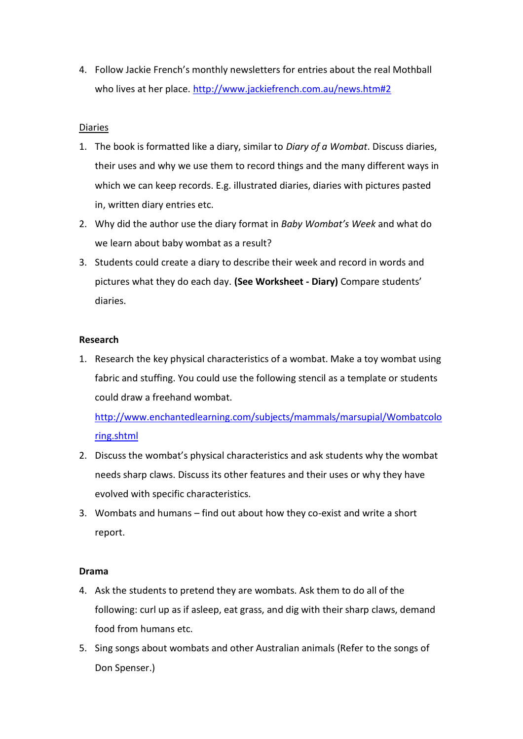4. Follow Jackie French's monthly newsletters for entries about the real Mothball who lives at her place.<http://www.jackiefrench.com.au/news.htm#2>

### Diaries

- 1. The book is formatted like a diary, similar to *Diary of a Wombat*. Discuss diaries, their uses and why we use them to record things and the many different ways in which we can keep records. E.g. illustrated diaries, diaries with pictures pasted in, written diary entries etc.
- 2. Why did the author use the diary format in *Baby Wombat's Week* and what do we learn about baby wombat as a result?
- 3. Students could create a diary to describe their week and record in words and pictures what they do each day. **(See Worksheet - Diary)** Compare students' diaries.

#### **Research**

1. Research the key physical characteristics of a wombat. Make a toy wombat using fabric and stuffing. You could use the following stencil as a template or students could draw a freehand wombat.

[http://www.enchantedlearning.com/subjects/mammals/marsupial/Wombatcolo](http://www.enchantedlearning.com/subjects/mammals/marsupial/Wombatcoloring.shtml) [ring.shtml](http://www.enchantedlearning.com/subjects/mammals/marsupial/Wombatcoloring.shtml)

- 2. Discuss the wombat's physical characteristics and ask students why the wombat needs sharp claws. Discuss its other features and their uses or why they have evolved with specific characteristics.
- 3. Wombats and humans find out about how they co-exist and write a short report.

#### **Drama**

- 4. Ask the students to pretend they are wombats. Ask them to do all of the following: curl up as if asleep, eat grass, and dig with their sharp claws, demand food from humans etc.
- 5. Sing songs about wombats and other Australian animals (Refer to the songs of Don Spenser.)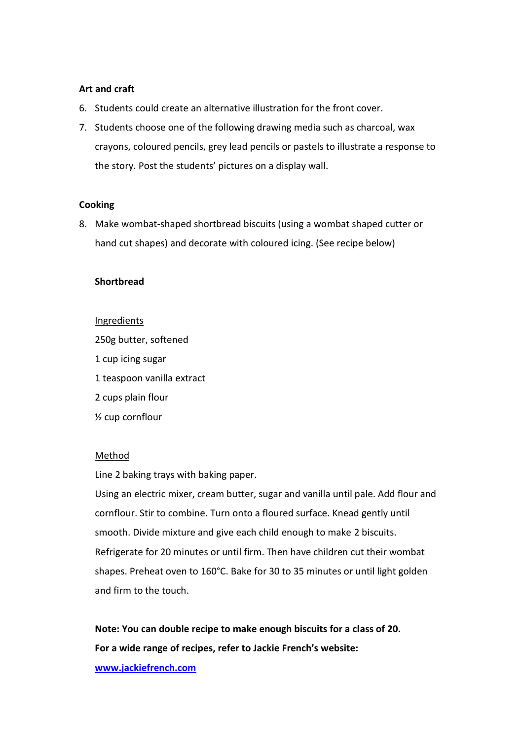#### **Art and craft**

- 6. Students could create an alternative illustration for the front cover.
- 7. Students choose one of the following drawing media such as charcoal, wax crayons, coloured pencils, grey lead pencils or pastels to illustrate a response to the story. Post the students' pictures on a display wall.

#### **Cooking**

8. Make wombat-shaped shortbread biscuits (using a wombat shaped cutter or hand cut shapes) and decorate with coloured icing. (See recipe below)

#### **Shortbread**

#### Ingredients

250g butter, softened 1 cup icing sugar 1 teaspoon vanilla extract 2 cups plain flour ½ cup cornflour

#### **Method**

Line 2 baking trays with baking paper.

Using an electric mixer, cream butter, sugar and vanilla until pale. Add flour and cornflour. Stir to combine. Turn onto a floured surface. Knead gently until smooth. Divide mixture and give each child enough to make 2 biscuits. Refrigerate for 20 minutes or until firm. Then have children cut their wombat shapes. Preheat oven to 160°C. Bake for 30 to 35 minutes or until light golden and firm to the touch.

**Note: You can double recipe to make enough biscuits for a class of 20. For a wide range of recipes, refer to Jackie French's website:** 

**[www.jackiefrench.com](http://www.jackiefrench.com/)**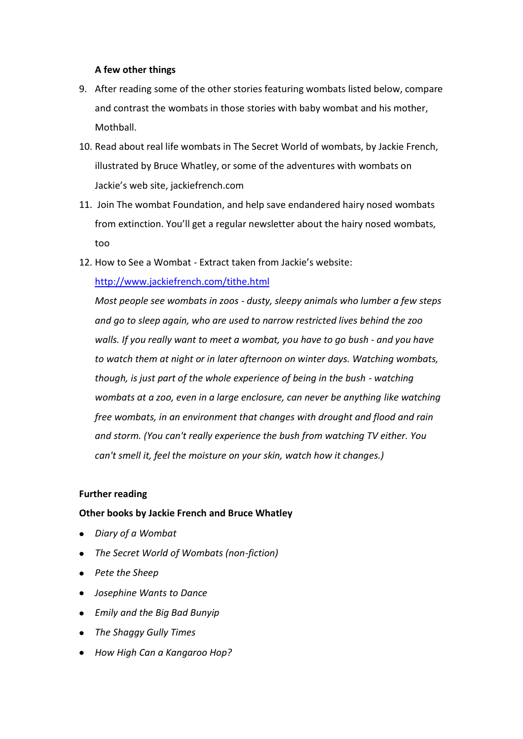### **A few other things**

- 9. After reading some of the other stories featuring wombats listed below, compare and contrast the wombats in those stories with baby wombat and his mother, Mothball.
- 10. Read about real life wombats in The Secret World of wombats, by Jackie French, illustrated by Bruce Whatley, or some of the adventures with wombats on Jackie's web site, jackiefrench.com
- 11. Join The wombat Foundation, and help save endandered hairy nosed wombats from extinction. You'll get a regular newsletter about the hairy nosed wombats, too
- 12. How to See a Wombat Extract taken from Jackie's website:

## <http://www.jackiefrench.com/tithe.html>

*Most people see wombats in zoos - dusty, sleepy animals who lumber a few steps and go to sleep again, who are used to narrow restricted lives behind the zoo walls. If you really want to meet a wombat, you have to go bush - and you have to watch them at night or in later afternoon on winter days. Watching wombats, though, is just part of the whole experience of being in the bush - watching*  wombats at a zoo, even in a large enclosure, can never be anything like watching *free wombats, in an environment that changes with drought and flood and rain and storm. (You can't really experience the bush from watching TV either. You can't smell it, feel the moisture on your skin, watch how it changes.)*

#### **Further reading**

## **Other books by Jackie French and Bruce Whatley**

- *Diary of a Wombat*
- *The Secret World of Wombats (non-fiction)*
- *Pete the Sheep*
- *Josephine Wants to Dance*
- *Emily and the Big Bad Bunyip*
- *The Shaggy Gully Times*
- *How High Can a Kangaroo Hop?*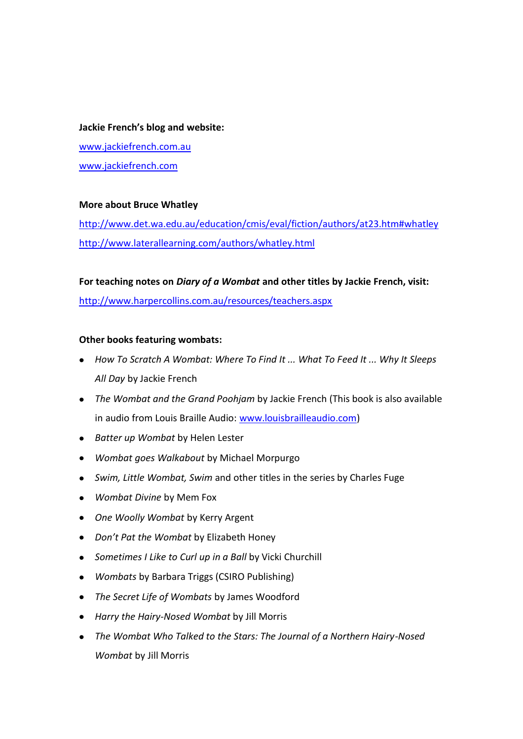#### **Jackie French's blog and website:**

[www.jackiefrench.com.au](http://www.jackiefrench.com.au/) [www.jackiefrench.com](http://www.jackiefrench.com/)

### **More about Bruce Whatley**

<http://www.det.wa.edu.au/education/cmis/eval/fiction/authors/at23.htm#whatley> <http://www.laterallearning.com/authors/whatley.html>

#### **For teaching notes on** *Diary of a Wombat* **and other titles by Jackie French, visit:**

<http://www.harpercollins.com.au/resources/teachers.aspx>

### **Other books featuring wombats:**

- *How To Scratch A Wombat: Where To Find It ... What To Feed It ... Why It Sleeps All Day* by Jackie French
- *The Wombat and the Grand Poohjam* by Jackie French (This book is also available in audio from Louis Braille Audio: [www.louisbrailleaudio.com\)](http://www.louisbrailleaudio.com/)
- *Batter up Wombat* by Helen Lester
- *Wombat goes Walkabout* by Michael Morpurgo  $\bullet$
- *Swim, Little Wombat, Swim* and other titles in the series by Charles Fuge
- *Wombat Divine* by Mem Fox
- *One Woolly Wombat* by Kerry Argent
- *Don't Pat the Wombat* by Elizabeth Honey
- *Sometimes I Like to Curl up in a Ball* by Vicki Churchill
- *Wombats* by Barbara Triggs (CSIRO Publishing)  $\bullet$
- *The Secret Life of Wombats* by James Woodford  $\bullet$
- *Harry the Hairy-Nosed Wombat* by Jill Morris
- *The Wombat Who Talked to the Stars: The Journal of a Northern Hairy-Nosed Wombat* by Jill Morris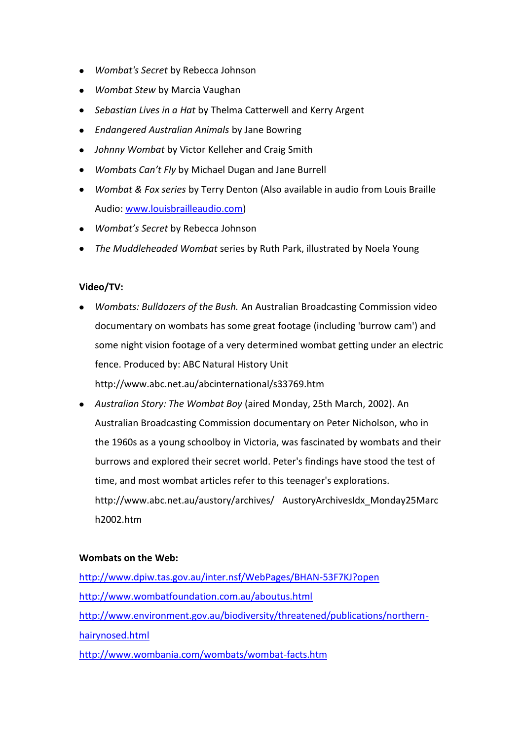- *Wombat's Secret* by Rebecca Johnson
- *Wombat Stew* by Marcia Vaughan
- *Sebastian Lives in a Hat* by Thelma Catterwell and Kerry Argent
- *Endangered Australian Animals* by Jane Bowring
- *Johnny Wombat* by Victor Kelleher and Craig Smith
- *Wombats Can't Fly* by Michael Dugan and Jane Burrell
- *Wombat & Fox series* by Terry Denton (Also available in audio from Louis Braille Audio[: www.louisbrailleaudio.com\)](http://www.louisbrailleaudio.com/)
- *Wombat's Secret* by Rebecca Johnson
- *The Muddleheaded Wombat* series by Ruth Park, illustrated by Noela Young

## **Video/TV:**

- *Wombats: Bulldozers of the Bush.* An Australian Broadcasting Commission video documentary on wombats has some great footage (including 'burrow cam') and some night vision footage of a very determined wombat getting under an electric fence. Produced by: ABC Natural History Unit <http://www.abc.net.au/abcinternational/s33769.htm>
- *Australian Story: The Wombat Boy* (aired Monday, 25th March, 2002). An Australian Broadcasting Commission documentary on Peter Nicholson, who in the 1960s as a young schoolboy in Victoria, was fascinated by wombats and their burrows and explored their secret world. Peter's findings have stood the test of time, and most wombat articles refer to this teenager's explorations. [http://www.abc.net.au/austory/archives/](http://www.abc.net.au/austory/archives/AustoryArchivesIdx_Monday25March2002.htm) AustoryArchivesIdx\_Monday25Marc [h2002.htm](http://www.abc.net.au/austory/archives/AustoryArchivesIdx_Monday25March2002.htm)

#### **Wombats on the Web:**

<http://www.dpiw.tas.gov.au/inter.nsf/WebPages/BHAN-53F7KJ?open> <http://www.wombatfoundation.com.au/aboutus.html> [http://www.environment.gov.au/biodiversity/threatened/publications/northern](http://www.environment.gov.au/biodiversity/threatened/publications/northern-hairynosed.html)[hairynosed.html](http://www.environment.gov.au/biodiversity/threatened/publications/northern-hairynosed.html)

<http://www.wombania.com/wombats/wombat-facts.htm>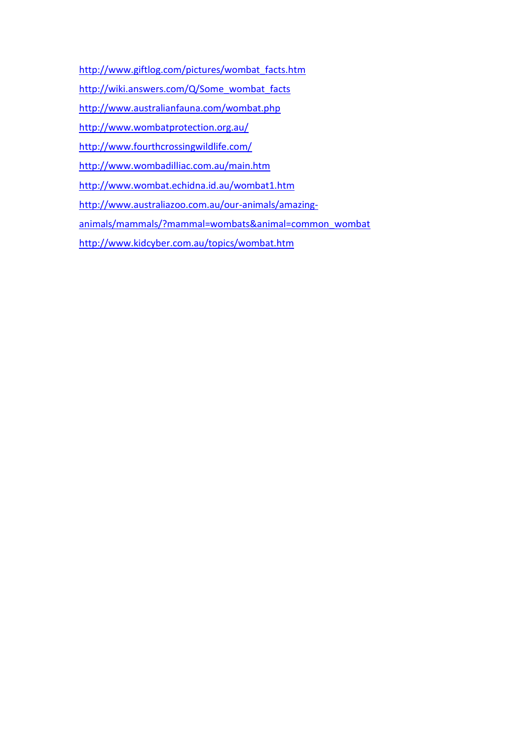- [http://www.giftlog.com/pictures/wombat\\_facts.htm](http://www.giftlog.com/pictures/wombat_facts.htm)
- [http://wiki.answers.com/Q/Some\\_wombat\\_facts](http://wiki.answers.com/Q/Some_wombat_facts)
- <http://www.australianfauna.com/wombat.php>
- <http://www.wombatprotection.org.au/>
- <http://www.fourthcrossingwildlife.com/>
- <http://www.wombadilliac.com.au/main.htm>
- <http://www.wombat.echidna.id.au/wombat1.htm>
- [http://www.australiazoo.com.au/our-animals/amazing-](http://www.australiazoo.com.au/our-animals/amazing-animals/mammals/?mammal=wombats&animal=common_wombat)
- [animals/mammals/?mammal=wombats&animal=common\\_wombat](http://www.australiazoo.com.au/our-animals/amazing-animals/mammals/?mammal=wombats&animal=common_wombat)
- <http://www.kidcyber.com.au/topics/wombat.htm>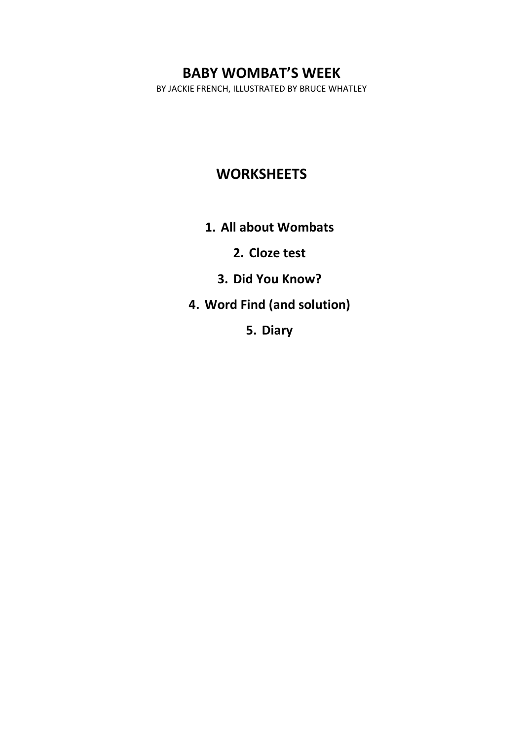BY JACKIE FRENCH, ILLUSTRATED BY BRUCE WHATLEY

# **WORKSHEETS**

**1. All about Wombats**

**2. Cloze test**

**3. Did You Know?**

**4. Word Find (and solution)**

**5. Diary**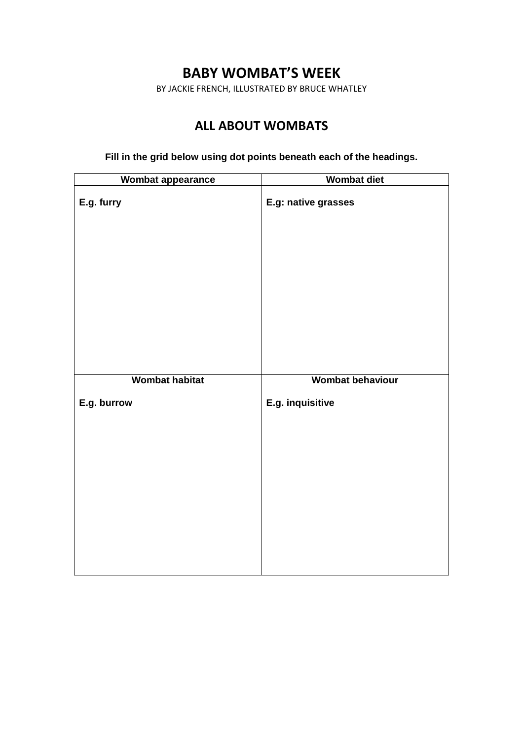BY JACKIE FRENCH, ILLUSTRATED BY BRUCE WHATLEY

# **ALL ABOUT WOMBATS**

**Fill in the grid below using dot points beneath each of the headings.**

| Wombat appearance     | <b>Wombat diet</b>      |
|-----------------------|-------------------------|
| E.g. furry            | E.g: native grasses     |
|                       |                         |
|                       |                         |
|                       |                         |
|                       |                         |
| <b>Wombat habitat</b> | <b>Wombat behaviour</b> |
| E.g. burrow           | E.g. inquisitive        |
|                       |                         |
|                       |                         |
|                       |                         |
|                       |                         |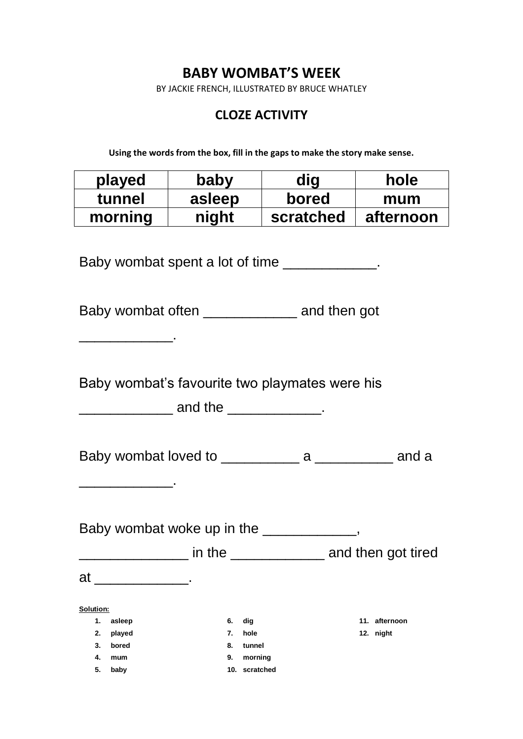BY JACKIE FRENCH, ILLUSTRATED BY BRUCE WHATLEY

# **CLOZE ACTIVITY**

**Using the words from the box, fill in the gaps to make the story make sense.**

| played  | baby   | nit       | hole      |
|---------|--------|-----------|-----------|
| tunnel  | asleep | bored     | mum       |
| morning | night  | scratched | afternoon |

Baby wombat spent a lot of time \_\_\_\_\_\_\_\_\_\_\_\_.

Baby wombat often \_\_\_\_\_\_\_\_\_\_\_\_ and then got

Baby wombat's favourite two playmates were his

 $\blacksquare$  and the  $\blacksquare$ 

 $\mathcal{L}_\text{max}$  and  $\mathcal{L}_\text{max}$  and  $\mathcal{L}_\text{max}$ 

\_\_\_\_\_\_\_\_\_\_\_\_.

**5. baby**

Baby wombat loved to example a contract a candial and a set of a set of a set of a set of a set of a set of a

Baby wombat woke up in the \_\_\_\_\_\_\_\_\_\_\_, \_\_\_\_\_\_\_\_\_\_\_\_\_\_\_\_\_\_\_ in the \_\_\_\_\_\_\_\_\_\_\_\_\_\_\_\_ and then got tired at \_\_\_\_\_\_\_\_\_\_\_\_\_\_\_. **Solution: 1. asleep 2. played 3. bored 4. mum 6. dig 7. hole 8. tunnel 11. afternoon 12. night**

**9. morning**

**10. scratched**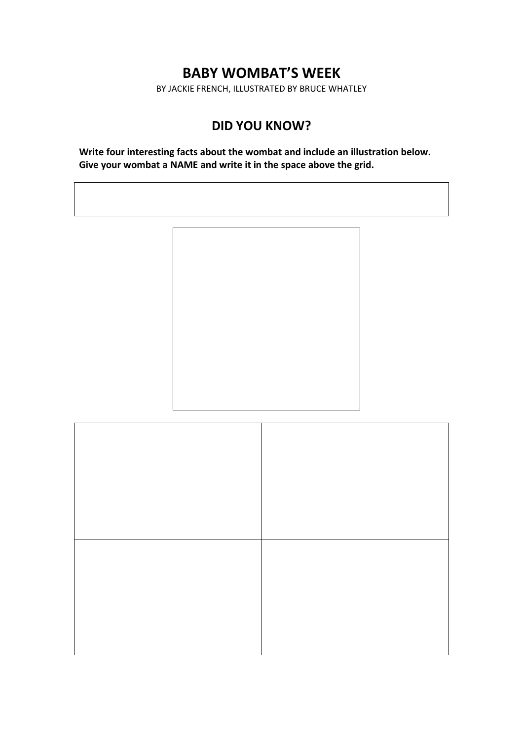BY JACKIE FRENCH, ILLUSTRATED BY BRUCE WHATLEY

## **DID YOU KNOW?**

**Write four interesting facts about the wombat and include an illustration below. Give your wombat a NAME and write it in the space above the grid.**

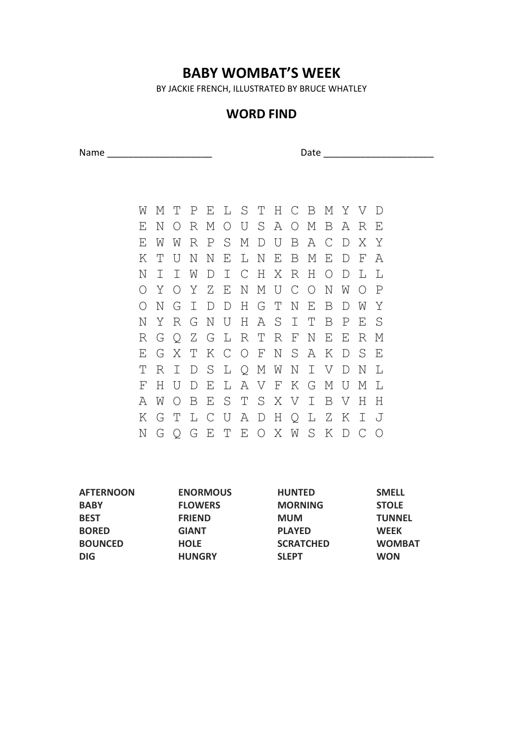BY JACKIE FRENCH, ILLUSTRATED BY BRUCE WHATLEY

## **WORD FIND**

Name \_\_\_\_\_\_\_\_\_\_\_\_\_\_\_\_\_\_\_\_ Date \_\_\_\_\_\_\_\_\_\_\_\_\_\_\_\_\_\_\_\_\_

W M T P E L S T H C B M Y V D E N O R M O U S A O M B A R E E W W R P S M D U B A C D X Y K T U N N E L N E B M E D F A N I I W D I C H X R H O D L L O Y O Y Z E N M U C O N W O P O N G I D D H G T N E B D W Y N Y R G N U H A S I T B P E S R G Q Z G L R T R F N E E R M E G X T K C O F N S A K D S E T R I D S L Q M W N I V D N L F H U D E L A V F K G M U M L A W O B E S T S X V I B V H H K G T L C U A D H Q L Z K I J N G Q G E T E O X W S K D C O

| <b>ENORMOUS</b> | <b>HUNTED</b>    | <b>SMELL</b>  |
|-----------------|------------------|---------------|
| <b>FLOWERS</b>  | <b>MORNING</b>   | <b>STOLE</b>  |
| <b>FRIEND</b>   | <b>MUM</b>       | <b>TUNNEL</b> |
| <b>GIANT</b>    | <b>PLAYED</b>    | <b>WEEK</b>   |
| <b>HOLE</b>     | <b>SCRATCHED</b> | <b>WOMBAT</b> |
| <b>HUNGRY</b>   | <b>SLEPT</b>     | <b>WON</b>    |
|                 |                  |               |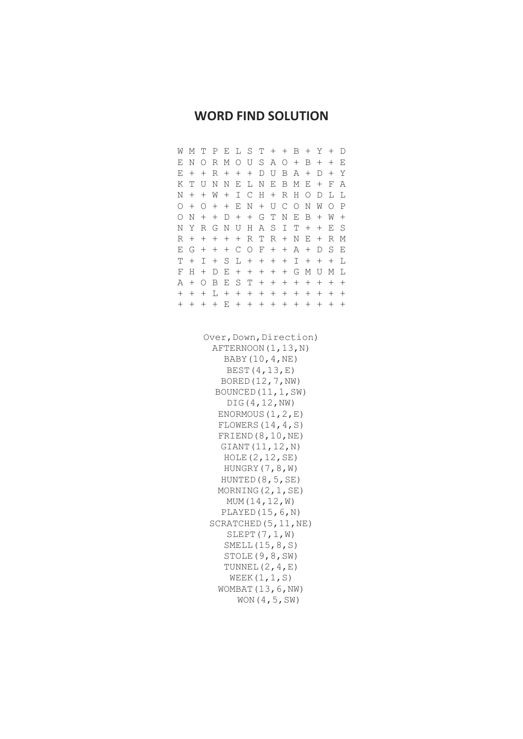## **WORD FIND SOLUTION**

| W                                                                                                                                                                                                                                                                                        | Μ                                                                                | Τ                  | Ρ                  | E                  | L                  | S                  | Τ                  | $^{+}$ | $^{+}$             | В      | $\hspace{0.1mm} +$ | Y                  | $\hspace{0.1mm} +$ | D      |  |
|------------------------------------------------------------------------------------------------------------------------------------------------------------------------------------------------------------------------------------------------------------------------------------------|----------------------------------------------------------------------------------|--------------------|--------------------|--------------------|--------------------|--------------------|--------------------|--------|--------------------|--------|--------------------|--------------------|--------------------|--------|--|
| Ε                                                                                                                                                                                                                                                                                        | Ν                                                                                | 0                  | R                  | Μ                  | 0                  | U                  | S                  | А      | О                  | $^{+}$ | В                  | $^+$               | $\hspace{0.1mm} +$ | E      |  |
| Ε                                                                                                                                                                                                                                                                                        | $\hspace{0.1mm} +$                                                               | $^{+}$             | R                  | $^{+}$             | $^{+}$             | $^{+}$             | D                  | U      | Β                  | А      | $\hspace{0.1mm} +$ | D                  | $\hspace{0.1mm} +$ | Υ      |  |
| Κ                                                                                                                                                                                                                                                                                        | Τ                                                                                | U                  | Ν                  | Ν                  | Ε                  | L                  | Ν                  | E      | Β                  | Μ      | E                  | $\hspace{0.1mm} +$ | F                  | А      |  |
| Ν                                                                                                                                                                                                                                                                                        | $^{+}$                                                                           | $^{+}$             | W                  | $^{+}$             | Ι                  | $\mathsf{C}$       | Η                  |        | R                  | Η      | О                  | D                  | L                  | L      |  |
| 0                                                                                                                                                                                                                                                                                        | $\hspace{0.1mm} +$                                                               | 0                  | $^{+}$             | $^{+}$             | Ε                  | N                  | $\hspace{0.1mm} +$ | U      | $\mathsf C$        | Ο      | Ν                  | W                  | 0                  | Ρ      |  |
| 0                                                                                                                                                                                                                                                                                        | Ν                                                                                | $^{+}$             | $^{+}$             | D                  | $^{+}$             | $^{+}$             | G                  | T      | N                  | E      | Β                  | $^{+}$             | W                  | $^{+}$ |  |
| N                                                                                                                                                                                                                                                                                        | Y                                                                                | R                  | G                  | Ν                  | U                  | Η                  | Α                  | S      | I                  | Т      | $^{+}$             | $^{+}$             | Ε                  | S      |  |
| R                                                                                                                                                                                                                                                                                        | $\hspace{0.1mm} +$                                                               | $^{+}$             | $\hspace{0.1mm} +$ | $\hspace{0.1mm} +$ | $\hspace{0.1mm} +$ | R                  | Τ                  | R      | $\hspace{0.1mm} +$ | Ν      | E                  | $^{+}$             | R                  | Μ      |  |
| Ε                                                                                                                                                                                                                                                                                        | G                                                                                | $\hspace{0.1mm} +$ | $^{+}$             | $\hspace{0.1mm} +$ | $\mathsf{C}$       | 0                  | F                  | $\! +$ | $^{+}$             | Α      | $\hspace{0.1mm} +$ | D                  | S                  | Ε      |  |
| T                                                                                                                                                                                                                                                                                        | $\hspace{0.1mm} +$                                                               | I                  | $^{+}$             | S                  | L                  | $\hspace{0.1mm} +$ | $^+$               | $^+$   | $^{+}$             | I      | $^+$               | $\hspace{0.1mm} +$ | $^+$               | L      |  |
| F                                                                                                                                                                                                                                                                                        | Η                                                                                | $\hspace{0.1mm} +$ | D                  | E                  | $^{+}$             | $^{+}$             | $^{+}$             | $^{+}$ | $^{+}$             | G      | Μ                  | U                  | Μ                  | L      |  |
| Α                                                                                                                                                                                                                                                                                        | $^{+}$                                                                           | О                  | Β                  | Ε                  | S                  | T                  | $^{+}$             | $^{+}$ | $\boldsymbol{+}$   | $^{+}$ | $^{+}$             | $^{+}$             | $^{+}$             | $^{+}$ |  |
| $^{+}$                                                                                                                                                                                                                                                                                   | $^{+}$                                                                           | $^{+}$             | L                  | $^{+}$             | $^{+}$             | $^{+}$             | $^{+}$             | $^{+}$ | $^{+}$             | $^{+}$ | $^{+}$             | $^{+}$             | $\boldsymbol{+}$   | $^{+}$ |  |
| $^{+}$                                                                                                                                                                                                                                                                                   | $^{+}$                                                                           | $^{+}$             | $^{+}$             | E                  | $^{+}$             | $^{+}$             | $^{+}$             | $^{+}$ | $^{+}$             | $^{+}$ | $^{+}$             | $^{+}$             | $^{+}$             | $^{+}$ |  |
| BOUNCED (11, 1, SW)<br>DIG (4, 12, NW)<br>ENORMOUS $(1, 2, E)$<br>FLOWERS $(14, 4, s)$<br>FRIEND (8, 10, NE)<br>GIANT (11, 12, N)<br>HOLE(2, 12, SE)<br>HUNGRY (7, 8, W)<br>HUNTED (8, 5, SE)<br>MORNING $(2, 1, SE)$<br>MUM (14, 12, W)<br>PLAYED $(15, 6, N)$<br>SCRATCHED (5, 11, NE) |                                                                                  |                    |                    |                    |                    |                    |                    |        |                    |        |                    |                    |                    |        |  |
|                                                                                                                                                                                                                                                                                          | SLEPT $(7, 1, W)$<br>SMELL $(15, 8, S)$<br>STOLE (9,8, SW)<br>TUNNEL $(2, 4, E)$ |                    |                    |                    |                    |                    |                    |        |                    |        |                    |                    |                    |        |  |
|                                                                                                                                                                                                                                                                                          | WEEK $(1, 1, S)$                                                                 |                    |                    |                    |                    |                    |                    |        |                    |        |                    |                    |                    |        |  |

WOMBAT(13,6,NW) WON(4,5,SW)